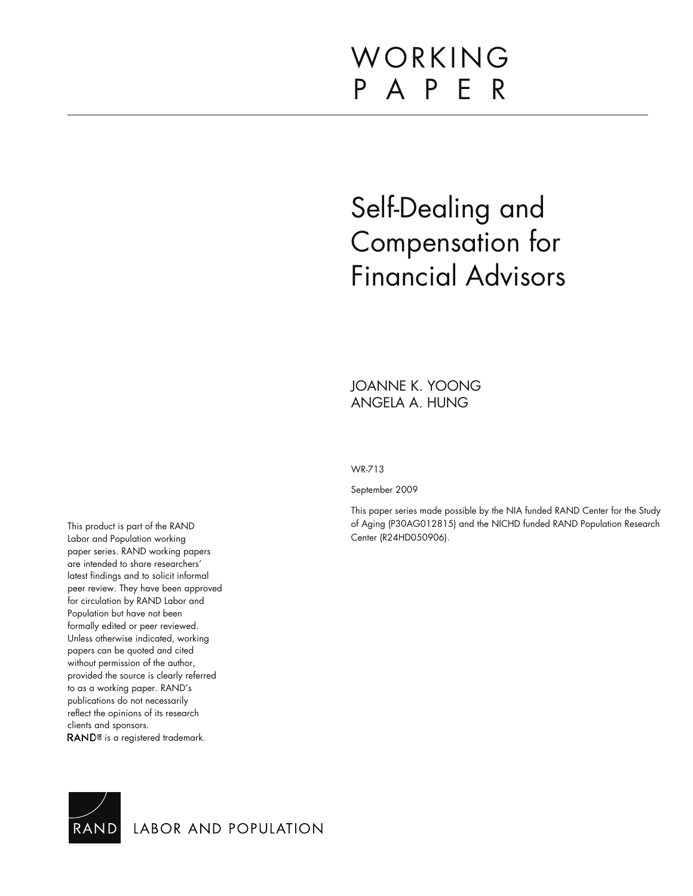# WORKING P A P E R

# Self-Dealing and Compensation for Financial Advisors

JOANNE K. YOONG ANGELA A. HUNG

WR-713

September 2009

This paper series made possible by the NIA funded RAND Center for the Study of Aging (P30AG012815) and the NICHD funded RAND Population Research Center (R24HD050906).

This product is part of the RAND Labor and Population working paper series. RAND working papers are intended to share researchers' latest findings and to solicit informal peer review. They have been approved for circulation by RAND Labor and Population but have not been formally edited or peer reviewed. Unless otherwise indicated, working papers can be quoted and cited without permission of the author, provided the source is clearly referred to as a working paper. RAND's publications do not necessarily reflect the opinions of its research clients and sponsors. RAND<sup>®</sup> is a registered trademark.



LABOR AND POPULATION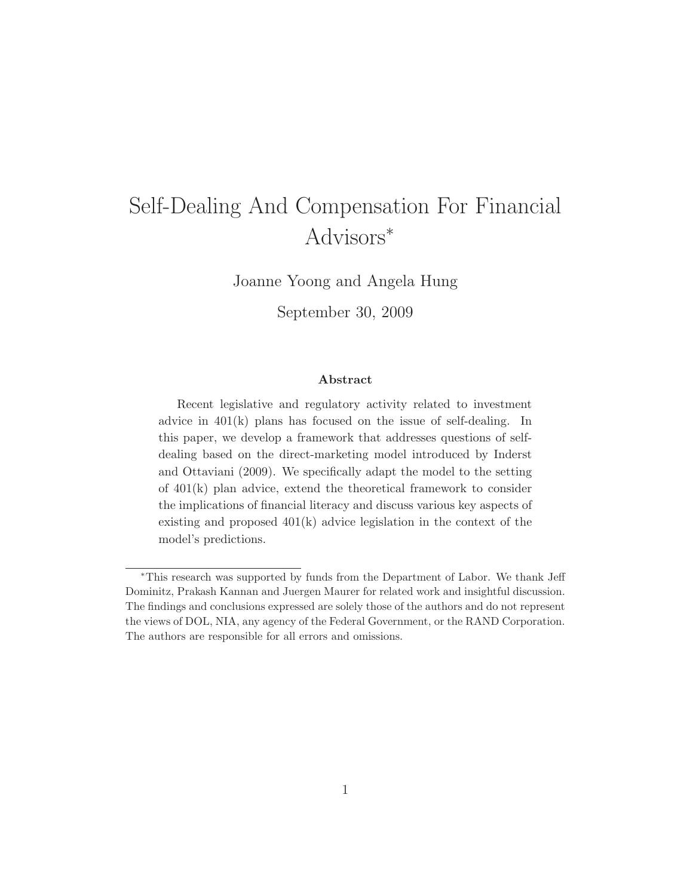## Self-Dealing And Compensation For Financial Advisors<sup>∗</sup>

Joanne Yoong and Angela Hung

September 30, 2009

#### **Abstract**

Recent legislative and regulatory activity related to investment advice in 401(k) plans has focused on the issue of self-dealing. In this paper, we develop a framework that addresses questions of selfdealing based on the direct-marketing model introduced by Inderst and Ottaviani (2009). We specifically adapt the model to the setting of 401(k) plan advice, extend the theoretical framework to consider the implications of financial literacy and discuss various key aspects of existing and proposed 401(k) advice legislation in the context of the model's predictions.

<sup>∗</sup>This research was supported by funds from the Department of Labor. We thank Jeff Dominitz, Prakash Kannan and Juergen Maurer for related work and insightful discussion. The findings and conclusions expressed are solely those of the authors and do not represent the views of DOL, NIA, any agency of the Federal Government, or the RAND Corporation. The authors are responsible for all errors and omissions.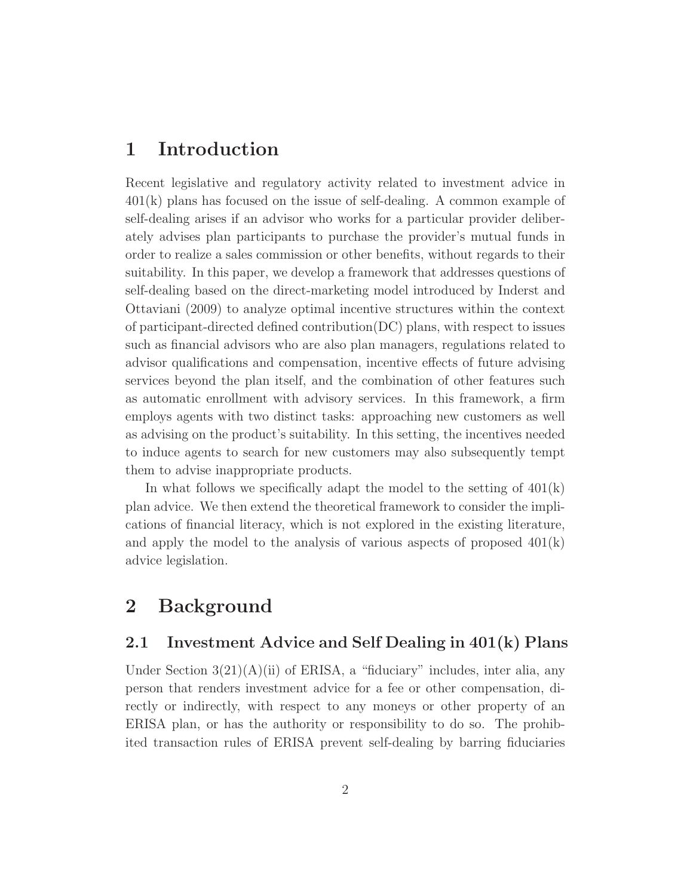## **1 Introduction**

Recent legislative and regulatory activity related to investment advice in 401(k) plans has focused on the issue of self-dealing. A common example of self-dealing arises if an advisor who works for a particular provider deliberately advises plan participants to purchase the provider's mutual funds in order to realize a sales commission or other benefits, without regards to their suitability. In this paper, we develop a framework that addresses questions of self-dealing based on the direct-marketing model introduced by Inderst and Ottaviani (2009) to analyze optimal incentive structures within the context of participant-directed defined contribution(DC) plans, with respect to issues such as financial advisors who are also plan managers, regulations related to advisor qualifications and compensation, incentive effects of future advising services beyond the plan itself, and the combination of other features such as automatic enrollment with advisory services. In this framework, a firm employs agents with two distinct tasks: approaching new customers as well as advising on the product's suitability. In this setting, the incentives needed to induce agents to search for new customers may also subsequently tempt them to advise inappropriate products.

In what follows we specifically adapt the model to the setting of  $401(k)$ plan advice. We then extend the theoretical framework to consider the implications of financial literacy, which is not explored in the existing literature, and apply the model to the analysis of various aspects of proposed  $401(k)$ advice legislation.

## **2 Background**

## **2.1 Investment Advice and Self Dealing in 401(k) Plans**

Under Section  $3(21)(A)(ii)$  of ERISA, a "fiduciary" includes, inter alia, any person that renders investment advice for a fee or other compensation, directly or indirectly, with respect to any moneys or other property of an ERISA plan, or has the authority or responsibility to do so. The prohibited transaction rules of ERISA prevent self-dealing by barring fiduciaries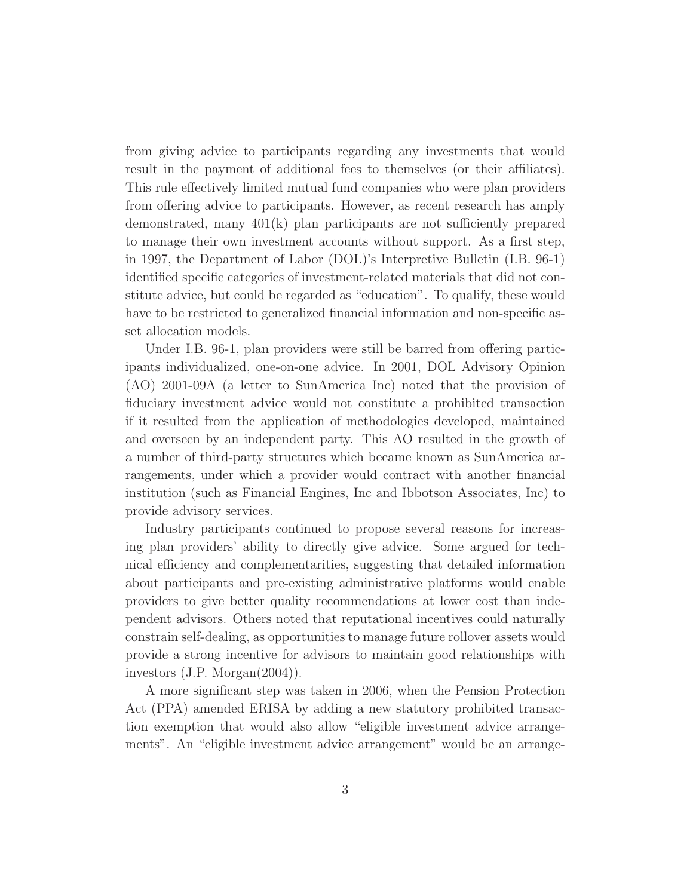from giving advice to participants regarding any investments that would result in the payment of additional fees to themselves (or their affiliates). This rule effectively limited mutual fund companies who were plan providers from offering advice to participants. However, as recent research has amply demonstrated, many 401(k) plan participants are not sufficiently prepared to manage their own investment accounts without support. As a first step, in 1997, the Department of Labor (DOL)'s Interpretive Bulletin (I.B. 96-1) identified specific categories of investment-related materials that did not constitute advice, but could be regarded as "education". To qualify, these would have to be restricted to generalized financial information and non-specific asset allocation models.

Under I.B. 96-1, plan providers were still be barred from offering participants individualized, one-on-one advice. In 2001, DOL Advisory Opinion (AO) 2001-09A (a letter to SunAmerica Inc) noted that the provision of fiduciary investment advice would not constitute a prohibited transaction if it resulted from the application of methodologies developed, maintained and overseen by an independent party. This AO resulted in the growth of a number of third-party structures which became known as SunAmerica arrangements, under which a provider would contract with another financial institution (such as Financial Engines, Inc and Ibbotson Associates, Inc) to provide advisory services.

Industry participants continued to propose several reasons for increasing plan providers' ability to directly give advice. Some argued for technical efficiency and complementarities, suggesting that detailed information about participants and pre-existing administrative platforms would enable providers to give better quality recommendations at lower cost than independent advisors. Others noted that reputational incentives could naturally constrain self-dealing, as opportunities to manage future rollover assets would provide a strong incentive for advisors to maintain good relationships with investors (J.P. Morgan(2004)).

A more significant step was taken in 2006, when the Pension Protection Act (PPA) amended ERISA by adding a new statutory prohibited transaction exemption that would also allow "eligible investment advice arrangements". An "eligible investment advice arrangement" would be an arrange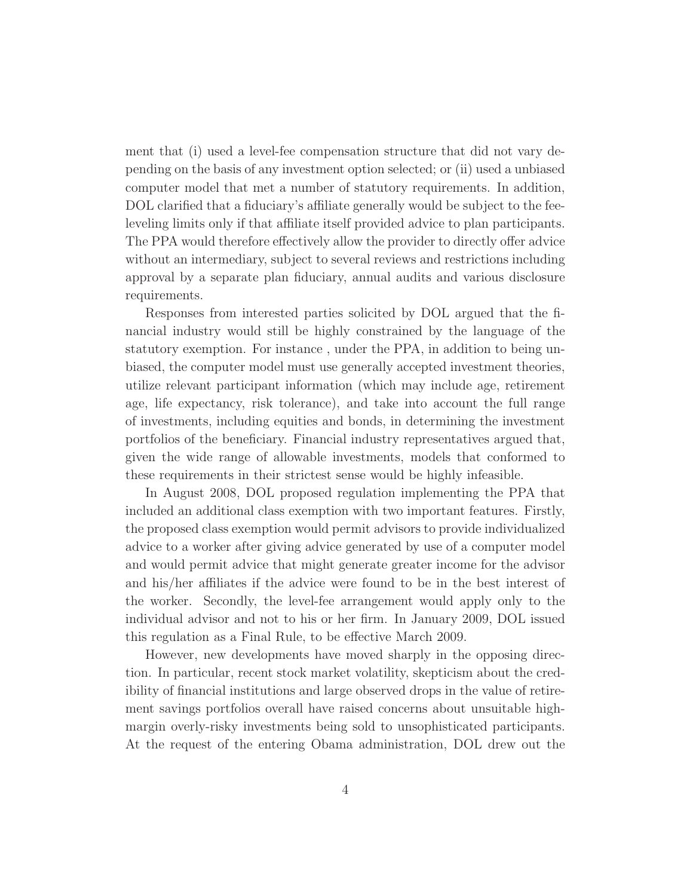ment that (i) used a level-fee compensation structure that did not vary depending on the basis of any investment option selected; or (ii) used a unbiased computer model that met a number of statutory requirements. In addition, DOL clarified that a fiduciary's affiliate generally would be subject to the feeleveling limits only if that affiliate itself provided advice to plan participants. The PPA would therefore effectively allow the provider to directly offer advice without an intermediary, subject to several reviews and restrictions including approval by a separate plan fiduciary, annual audits and various disclosure requirements.

Responses from interested parties solicited by DOL argued that the financial industry would still be highly constrained by the language of the statutory exemption. For instance , under the PPA, in addition to being unbiased, the computer model must use generally accepted investment theories, utilize relevant participant information (which may include age, retirement age, life expectancy, risk tolerance), and take into account the full range of investments, including equities and bonds, in determining the investment portfolios of the beneficiary. Financial industry representatives argued that, given the wide range of allowable investments, models that conformed to these requirements in their strictest sense would be highly infeasible.

In August 2008, DOL proposed regulation implementing the PPA that included an additional class exemption with two important features. Firstly, the proposed class exemption would permit advisors to provide individualized advice to a worker after giving advice generated by use of a computer model and would permit advice that might generate greater income for the advisor and his/her affiliates if the advice were found to be in the best interest of the worker. Secondly, the level-fee arrangement would apply only to the individual advisor and not to his or her firm. In January 2009, DOL issued this regulation as a Final Rule, to be effective March 2009.

However, new developments have moved sharply in the opposing direction. In particular, recent stock market volatility, skepticism about the credibility of financial institutions and large observed drops in the value of retirement savings portfolios overall have raised concerns about unsuitable highmargin overly-risky investments being sold to unsophisticated participants. At the request of the entering Obama administration, DOL drew out the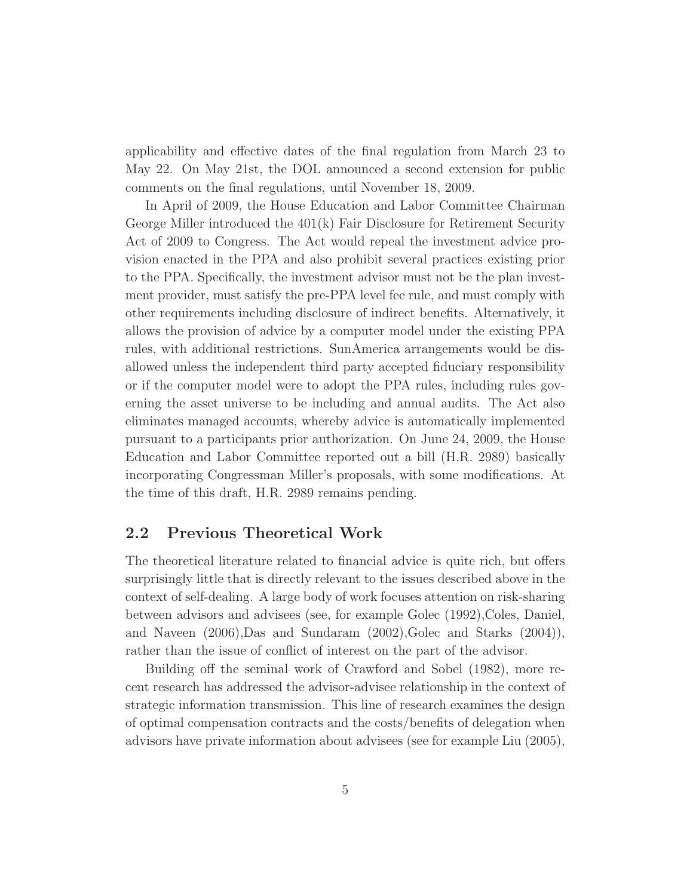applicability and effective dates of the final regulation from March 23 to May 22. On May 21st, the DOL announced a second extension for public comments on the final regulations, until November 18, 2009.

In April of 2009, the House Education and Labor Committee Chairman George Miller introduced the 401(k) Fair Disclosure for Retirement Security Act of 2009 to Congress. The Act would repeal the investment advice provision enacted in the PPA and also prohibit several practices existing prior to the PPA. Specifically, the investment advisor must not be the plan investment provider, must satisfy the pre-PPA level fee rule, and must comply with other requirements including disclosure of indirect benefits. Alternatively, it allows the provision of advice by a computer model under the existing PPA rules, with additional restrictions. SunAmerica arrangements would be disallowed unless the independent third party accepted fiduciary responsibility or if the computer model were to adopt the PPA rules, including rules governing the asset universe to be including and annual audits. The Act also eliminates managed accounts, whereby advice is automatically implemented pursuant to a participants prior authorization. On June 24, 2009, the House Education and Labor Committee reported out a bill (H.R. 2989) basically incorporating Congressman Miller's proposals, with some modifications. At the time of this draft, H.R. 2989 remains pending.

### **2.2 Previous Theoretical Work**

The theoretical literature related to financial advice is quite rich, but offers surprisingly little that is directly relevant to the issues described above in the context of self-dealing. A large body of work focuses attention on risk-sharing between advisors and advisees (see, for example Golec (1992),Coles, Daniel, and Naveen (2006),Das and Sundaram (2002),Golec and Starks (2004)), rather than the issue of conflict of interest on the part of the advisor.

Building off the seminal work of Crawford and Sobel (1982), more recent research has addressed the advisor-advisee relationship in the context of strategic information transmission. This line of research examines the design of optimal compensation contracts and the costs/benefits of delegation when advisors have private information about advisees (see for example Liu (2005),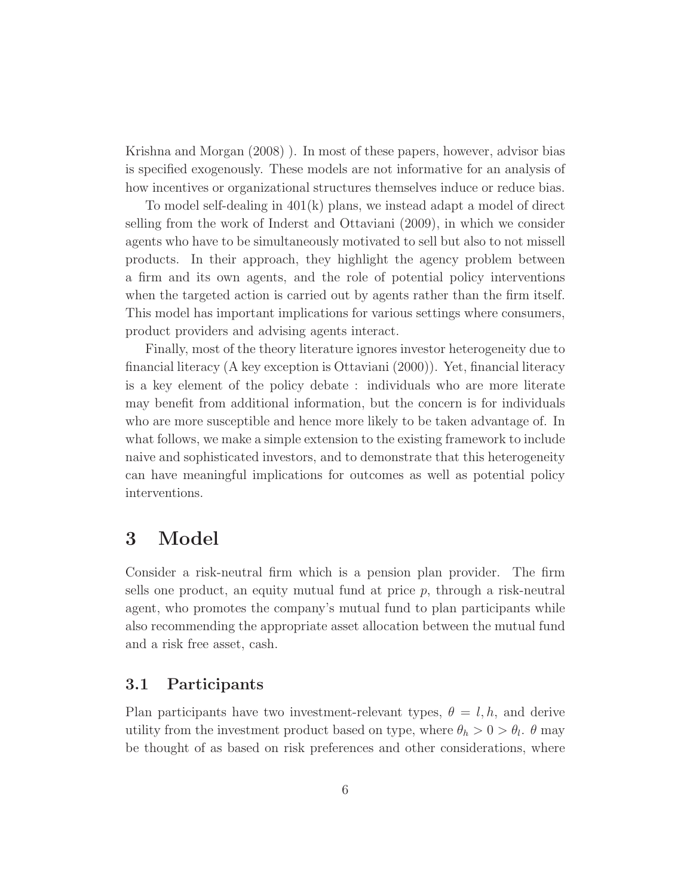Krishna and Morgan (2008) ). In most of these papers, however, advisor bias is specified exogenously. These models are not informative for an analysis of how incentives or organizational structures themselves induce or reduce bias.

To model self-dealing in 401(k) plans, we instead adapt a model of direct selling from the work of Inderst and Ottaviani (2009), in which we consider agents who have to be simultaneously motivated to sell but also to not missell products. In their approach, they highlight the agency problem between a firm and its own agents, and the role of potential policy interventions when the targeted action is carried out by agents rather than the firm itself. This model has important implications for various settings where consumers, product providers and advising agents interact.

Finally, most of the theory literature ignores investor heterogeneity due to financial literacy (A key exception is Ottaviani (2000)). Yet, financial literacy is a key element of the policy debate : individuals who are more literate may benefit from additional information, but the concern is for individuals who are more susceptible and hence more likely to be taken advantage of. In what follows, we make a simple extension to the existing framework to include naive and sophisticated investors, and to demonstrate that this heterogeneity can have meaningful implications for outcomes as well as potential policy interventions.

## **3 Model**

Consider a risk-neutral firm which is a pension plan provider. The firm sells one product, an equity mutual fund at price  $p$ , through a risk-neutral agent, who promotes the company's mutual fund to plan participants while also recommending the appropriate asset allocation between the mutual fund and a risk free asset, cash.

### **3.1 Participants**

Plan participants have two investment-relevant types,  $\theta = l, h$ , and derive utility from the investment product based on type, where  $\theta_h > 0 > \theta_l$ .  $\theta$  may be thought of as based on risk preferences and other considerations, where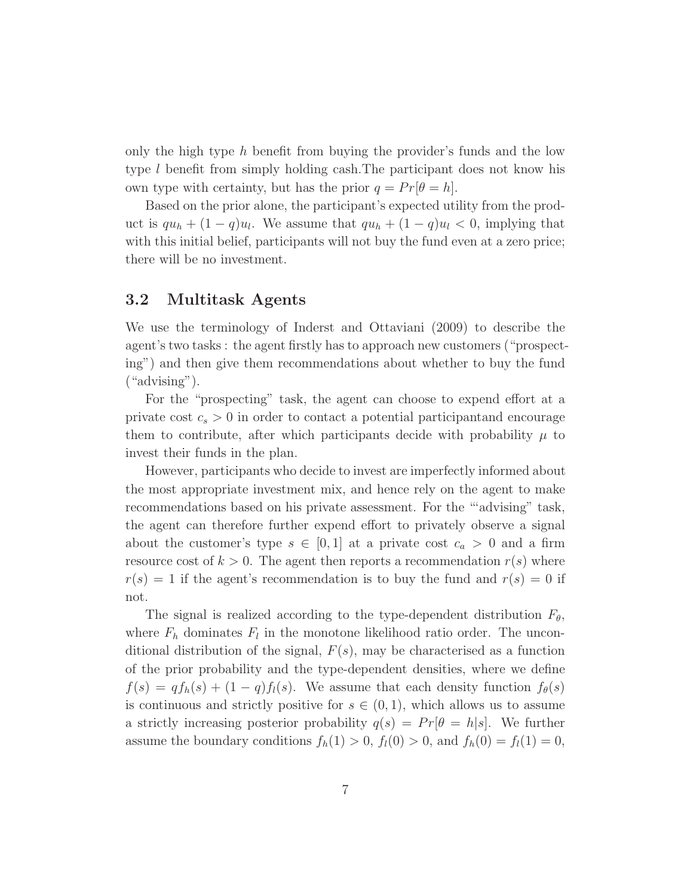only the high type h benefit from buying the provider's funds and the low type l benefit from simply holding cash.The participant does not know his own type with certainty, but has the prior  $q = Pr[\theta = h].$ 

Based on the prior alone, the participant's expected utility from the product is  $qu_h + (1 - q)u_l$ . We assume that  $qu_h + (1 - q)u_l < 0$ , implying that with this initial belief, participants will not buy the fund even at a zero price; there will be no investment.

#### **3.2 Multitask Agents**

We use the terminology of Inderst and Ottaviani (2009) to describe the agent's two tasks : the agent firstly has to approach new customers ("prospecting") and then give them recommendations about whether to buy the fund ("advising").

For the "prospecting" task, the agent can choose to expend effort at a private cost  $c_s > 0$  in order to contact a potential participantand encourage them to contribute, after which participants decide with probability  $\mu$  to invest their funds in the plan.

However, participants who decide to invest are imperfectly informed about the most appropriate investment mix, and hence rely on the agent to make recommendations based on his private assessment. For the "'advising" task, the agent can therefore further expend effort to privately observe a signal about the customer's type  $s \in [0,1]$  at a private cost  $c_a > 0$  and a firm resource cost of  $k > 0$ . The agent then reports a recommendation  $r(s)$  where  $r(s) = 1$  if the agent's recommendation is to buy the fund and  $r(s) = 0$  if not.

The signal is realized according to the type-dependent distribution  $F_{\theta}$ , where  $F_h$  dominates  $F_l$  in the monotone likelihood ratio order. The unconditional distribution of the signal,  $F(s)$ , may be characterised as a function of the prior probability and the type-dependent densities, where we define  $f(s) = qf_h(s) + (1-q)f_l(s)$ . We assume that each density function  $f_{\theta}(s)$ is continuous and strictly positive for  $s \in (0,1)$ , which allows us to assume a strictly increasing posterior probability  $q(s) = Pr[\theta = h|s]$ . We further assume the boundary conditions  $f_h(1) > 0$ ,  $f_l(0) > 0$ , and  $f_h(0) = f_l(1) = 0$ ,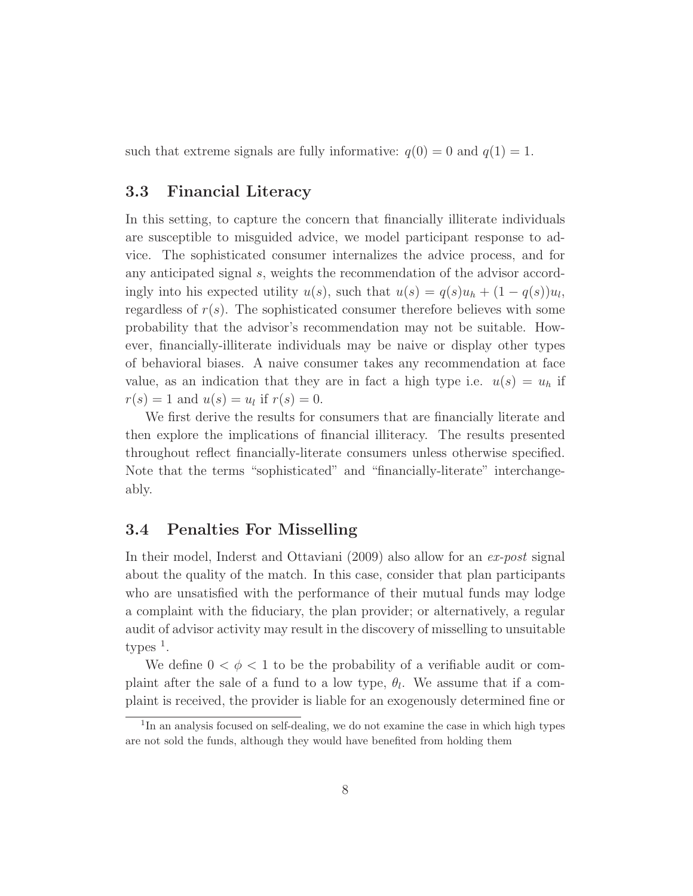such that extreme signals are fully informative:  $q(0) = 0$  and  $q(1) = 1$ .

## **3.3 Financial Literacy**

In this setting, to capture the concern that financially illiterate individuals are susceptible to misguided advice, we model participant response to advice. The sophisticated consumer internalizes the advice process, and for any anticipated signal s, weights the recommendation of the advisor accordingly into his expected utility  $u(s)$ , such that  $u(s) = q(s)u_h + (1 - q(s))u_l$ , regardless of  $r(s)$ . The sophisticated consumer therefore believes with some probability that the advisor's recommendation may not be suitable. However, financially-illiterate individuals may be naive or display other types of behavioral biases. A naive consumer takes any recommendation at face value, as an indication that they are in fact a high type i.e.  $u(s) = u_h$  if  $r(s) = 1$  and  $u(s) = u_l$  if  $r(s) = 0$ .

We first derive the results for consumers that are financially literate and then explore the implications of financial illiteracy. The results presented throughout reflect financially-literate consumers unless otherwise specified. Note that the terms "sophisticated" and "financially-literate" interchangeably.

## **3.4 Penalties For Misselling**

In their model, Inderst and Ottaviani (2009) also allow for an ex-post signal about the quality of the match. In this case, consider that plan participants who are unsatisfied with the performance of their mutual funds may lodge a complaint with the fiduciary, the plan provider; or alternatively, a regular audit of advisor activity may result in the discovery of misselling to unsuitable  $types<sup>1</sup>$ .

We define  $0 < \phi < 1$  to be the probability of a verifiable audit or complaint after the sale of a fund to a low type,  $\theta_l$ . We assume that if a complaint is received, the provider is liable for an exogenously determined fine or

 $1$ In an analysis focused on self-dealing, we do not examine the case in which high types are not sold the funds, although they would have benefited from holding them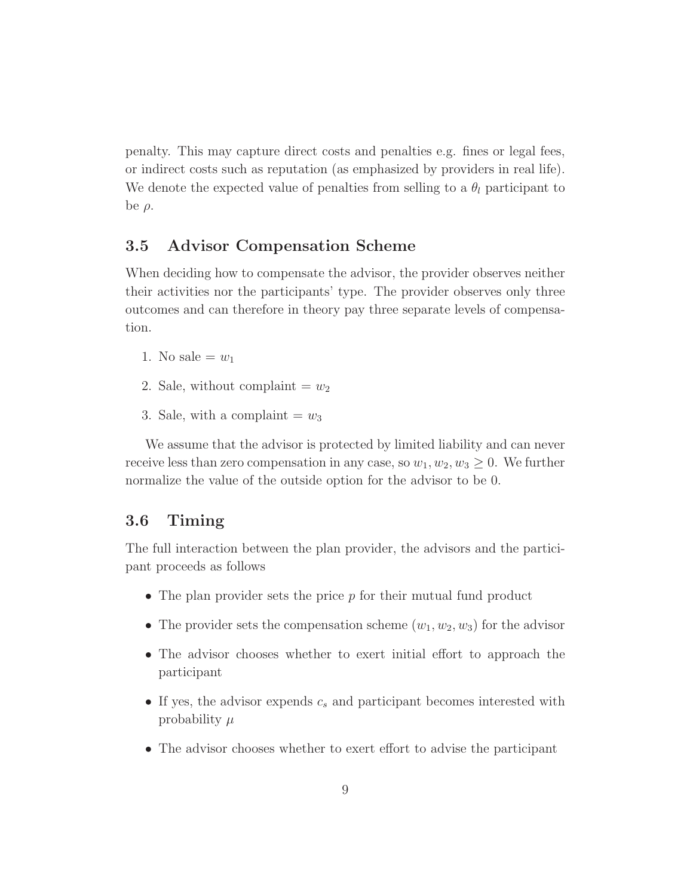penalty. This may capture direct costs and penalties e.g. fines or legal fees, or indirect costs such as reputation (as emphasized by providers in real life). We denote the expected value of penalties from selling to a  $\theta_l$  participant to be  $\rho$ .

#### **3.5 Advisor Compensation Scheme**

When deciding how to compensate the advisor, the provider observes neither their activities nor the participants' type. The provider observes only three outcomes and can therefore in theory pay three separate levels of compensation.

- 1. No sale  $=w_1$
- 2. Sale, without complaint  $=w_2$
- 3. Sale, with a complaint  $=w_3$

We assume that the advisor is protected by limited liability and can never receive less than zero compensation in any case, so  $w_1, w_2, w_3 \geq 0$ . We further normalize the value of the outside option for the advisor to be 0.

## **3.6 Timing**

The full interaction between the plan provider, the advisors and the participant proceeds as follows

- The plan provider sets the price  $p$  for their mutual fund product
- The provider sets the compensation scheme  $(w_1, w_2, w_3)$  for the advisor
- The advisor chooses whether to exert initial effort to approach the participant
- If yes, the advisor expends  $c_s$  and participant becomes interested with probability  $\mu$
- The advisor chooses whether to exert effort to advise the participant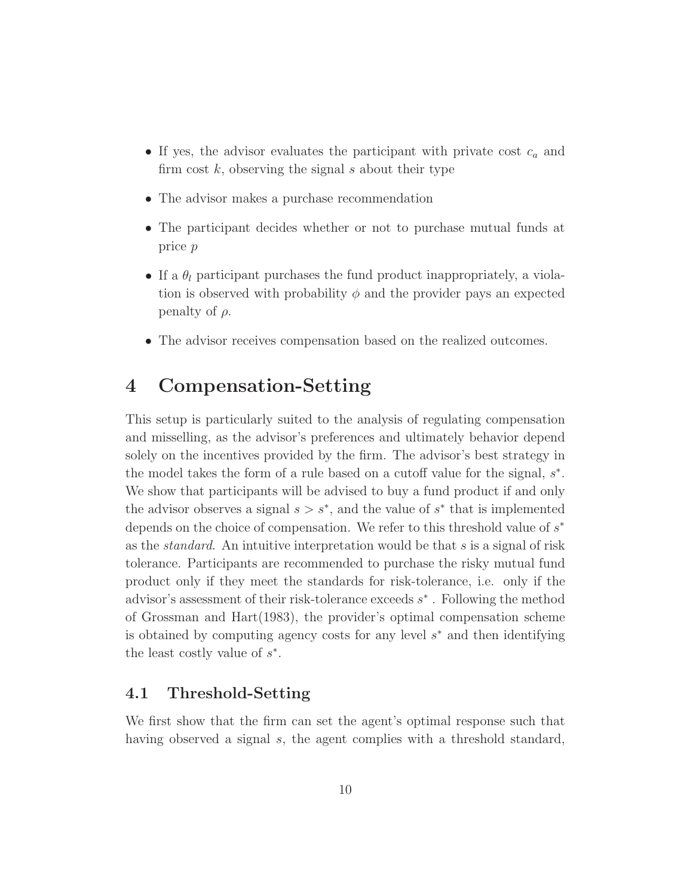- If yes, the advisor evaluates the participant with private cost  $c_a$  and firm cost  $k$ , observing the signal s about their type
- The advisor makes a purchase recommendation
- The participant decides whether or not to purchase mutual funds at price p
- If a  $\theta_l$  participant purchases the fund product inappropriately, a violation is observed with probability  $\phi$  and the provider pays an expected penalty of  $\rho$ .
- The advisor receives compensation based on the realized outcomes.

## **4 Compensation-Setting**

This setup is particularly suited to the analysis of regulating compensation and misselling, as the advisor's preferences and ultimately behavior depend solely on the incentives provided by the firm. The advisor's best strategy in the model takes the form of a rule based on a cutoff value for the signal,  $s^*$ . We show that participants will be advised to buy a fund product if and only the advisor observes a signal  $s > s^*$ , and the value of  $s^*$  that is implemented depends on the choice of compensation. We refer to this threshold value of  $s^*$ as the *standard*. An intuitive interpretation would be that  $s$  is a signal of risk tolerance. Participants are recommended to purchase the risky mutual fund product only if they meet the standards for risk-tolerance, i.e. only if the advisor's assessment of their risk-tolerance exceeds  $s^*$ . Following the method of Grossman and Hart(1983), the provider's optimal compensation scheme is obtained by computing agency costs for any level s<sup>∗</sup> and then identifying the least costly value of  $s^*$ .

## **4.1 Threshold-Setting**

We first show that the firm can set the agent's optimal response such that having observed a signal s, the agent complies with a threshold standard,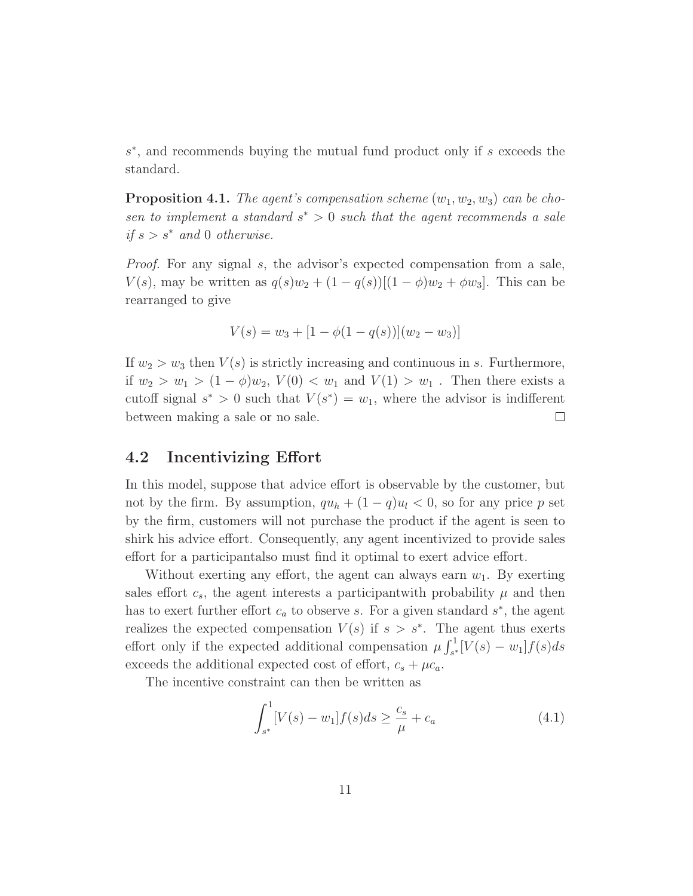s<sup>∗</sup>, and recommends buying the mutual fund product only if s exceeds the standard.

**Proposition 4.1.** The agent's compensation scheme  $(w_1, w_2, w_3)$  can be chosen to implement a standard  $s^* > 0$  such that the agent recommends a sale if  $s>s^*$  and 0 otherwise.

Proof. For any signal s, the advisor's expected compensation from a sale,  $V(s)$ , may be written as  $q(s)w_2 + (1 - q(s))[(1 - \phi)w_2 + \phi w_3]$ . This can be rearranged to give

$$
V(s) = w_3 + [1 - \phi(1 - q(s))](w_2 - w_3)]
$$

If  $w_2 > w_3$  then  $V(s)$  is strictly increasing and continuous in s. Furthermore, if  $w_2 > w_1 > (1 - \phi)w_2$ ,  $V(0) < w_1$  and  $V(1) > w_1$ . Then there exists a cutoff signal  $s^* > 0$  such that  $V(s^*) = w_1$ , where the advisor is indifferent between making a sale or no sale.  $\Box$ 

#### **4.2 Incentivizing Effort**

In this model, suppose that advice effort is observable by the customer, but not by the firm. By assumption,  $qu_h + (1 - q)u_l < 0$ , so for any price p set by the firm, customers will not purchase the product if the agent is seen to shirk his advice effort. Consequently, any agent incentivized to provide sales effort for a participantalso must find it optimal to exert advice effort.

Without exerting any effort, the agent can always earn  $w_1$ . By exerting sales effort  $c_s$ , the agent interests a participantwith probability  $\mu$  and then has to exert further effort  $c_a$  to observe s. For a given standard  $s^*$ , the agent realizes the expected compensation  $V(s)$  if  $s > s^*$ . The agent thus exerts effort only if the expected additional compensation  $\mu \int_{s^*}^1 [V(s) - w_1] f(s) ds$ exceeds the additional expected cost of effort,  $c_s + \mu c_a$ .

The incentive constraint can then be written as

$$
\int_{s^*}^{1} [V(s) - w_1] f(s) ds \ge \frac{c_s}{\mu} + c_a \tag{4.1}
$$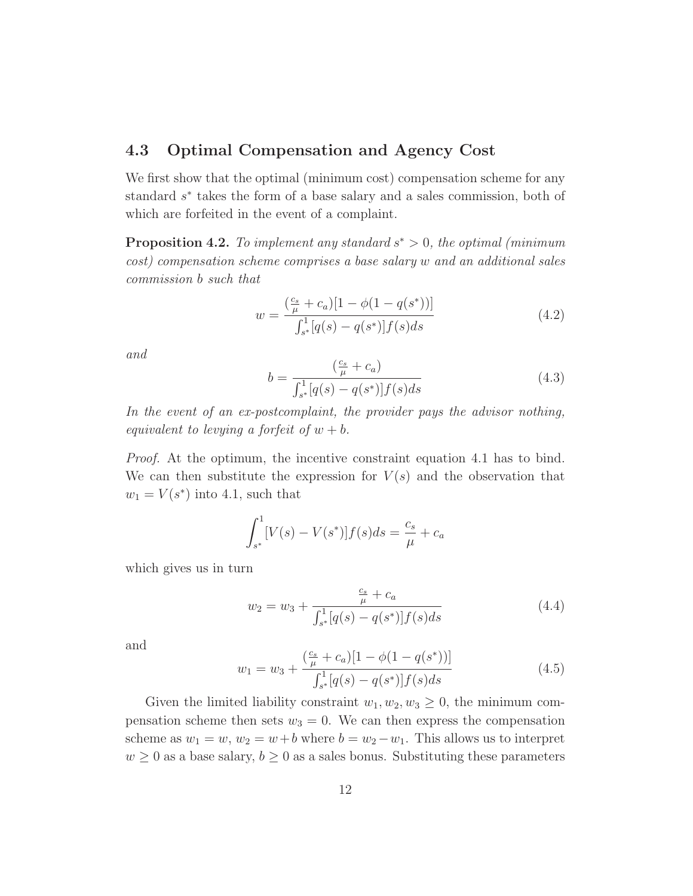## **4.3 Optimal Compensation and Agency Cost**

We first show that the optimal (minimum cost) compensation scheme for any standard s<sup>∗</sup> takes the form of a base salary and a sales commission, both of which are forfeited in the event of a complaint.

**Proposition 4.2.** To implement any standard  $s^* > 0$ , the optimal (minimum) cost) compensation scheme comprises a base salary w and an additional sales commission b such that

$$
w = \frac{(\frac{c_s}{\mu} + c_a)[1 - \phi(1 - q(s^*))]}{\int_{s^*}^1 [q(s) - q(s^*)] f(s) ds}
$$
(4.2)

and

$$
b = \frac{\left(\frac{c_s}{\mu} + c_a\right)}{\int_{s^*}^1 [q(s) - q(s^*)] f(s) ds} \tag{4.3}
$$

In the event of an ex-postcomplaint, the provider pays the advisor nothing, equivalent to levying a forfeit of  $w + b$ .

Proof. At the optimum, the incentive constraint equation 4.1 has to bind. We can then substitute the expression for  $V(s)$  and the observation that  $w_1 = V(s^*)$  into 4.1, such that

$$
\int_{s^*}^{1} [V(s) - V(s^*)] f(s) ds = \frac{c_s}{\mu} + c_a
$$

which gives us in turn

$$
w_2 = w_3 + \frac{\frac{c_s}{\mu} + c_a}{\int_{s^*}^1 [q(s) - q(s^*)] f(s) ds}
$$
\n(4.4)

and

$$
w_1 = w_3 + \frac{(\frac{c_s}{\mu} + c_a)[1 - \phi(1 - q(s^*))]}{\int_{s^*}^1 [q(s) - q(s^*)] f(s) ds}
$$
\n(4.5)

Given the limited liability constraint  $w_1, w_2, w_3 \geq 0$ , the minimum compensation scheme then sets  $w_3 = 0$ . We can then express the compensation scheme as  $w_1 = w$ ,  $w_2 = w + b$  where  $b = w_2 - w_1$ . This allows us to interpret  $w \geq 0$  as a base salary,  $b \geq 0$  as a sales bonus. Substituting these parameters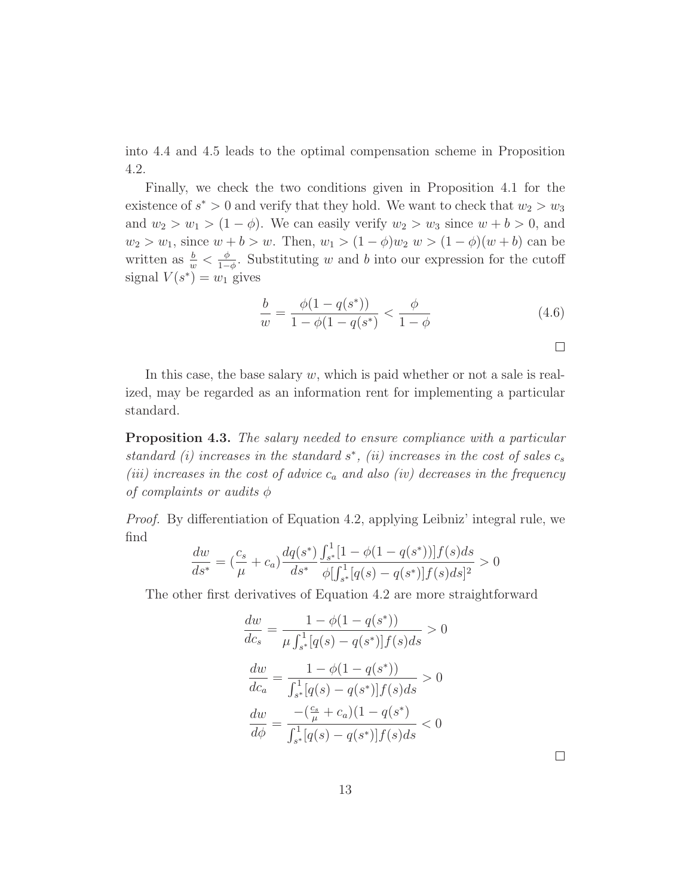into 4.4 and 4.5 leads to the optimal compensation scheme in Proposition 4.2.

Finally, we check the two conditions given in Proposition 4.1 for the existence of  $s^* > 0$  and verify that they hold. We want to check that  $w_2 > w_3$ and  $w_2 > w_1 > (1 - \phi)$ . We can easily verify  $w_2 > w_3$  since  $w + b > 0$ , and  $w_2 > w_1$ , since  $w + b > w$ . Then,  $w_1 > (1 - \phi)w_2$   $w > (1 - \phi)(w + b)$  can be written as  $\frac{b}{w} < \frac{\phi}{1-\phi}$ . Substituting w and b into our expression for the cutoff signal  $V(s^*) = w_1$  gives

$$
\frac{b}{w} = \frac{\phi(1 - q(s^*))}{1 - \phi(1 - q(s^*))} < \frac{\phi}{1 - \phi} \tag{4.6}
$$

In this case, the base salary  $w$ , which is paid whether or not a sale is realized, may be regarded as an information rent for implementing a particular standard.

**Proposition 4.3.** The salary needed to ensure compliance with a particular standard (i) increases in the standard  $s^*$ , (ii) increases in the cost of sales  $c_s$ (iii) increases in the cost of advice  $c_a$  and also (iv) decreases in the frequency of complaints or audits  $\phi$ 

Proof. By differentiation of Equation 4.2, applying Leibniz' integral rule, we find

$$
\frac{dw}{ds^*} = \left(\frac{c_s}{\mu} + c_a\right) \frac{dq(s^*)}{ds^*} \frac{\int_{s^*}^1 [1 - \phi(1 - q(s^*))] f(s) ds}{\phi \left[\int_{s^*}^1 [q(s) - q(s^*)] f(s) ds\right]^2} > 0
$$

The other first derivatives of Equation 4.2 are more straightforward

$$
\frac{dw}{dc_s} = \frac{1 - \phi(1 - q(s^*))}{\mu \int_{s^*}^1 [q(s) - q(s^*)] f(s) ds} > 0
$$

$$
\frac{dw}{dc_a} = \frac{1 - \phi(1 - q(s^*))}{\int_{s^*}^1 [q(s) - q(s^*)] f(s) ds} > 0
$$

$$
\frac{dw}{d\phi} = \frac{-(\frac{c_s}{\mu} + c_a)(1 - q(s^*))}{\int_{s^*}^1 [q(s) - q(s^*)] f(s) ds} < 0
$$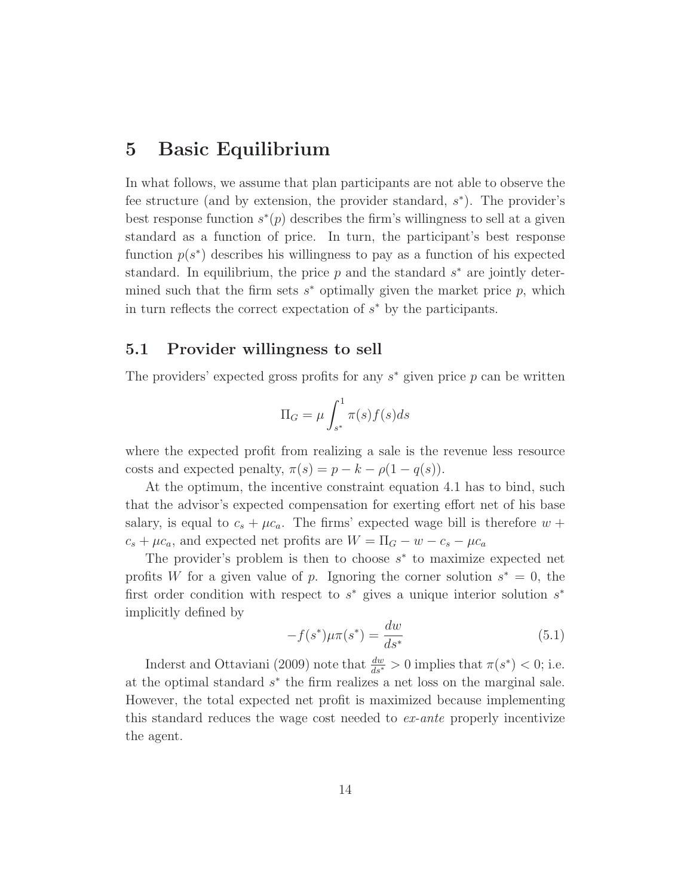## **5 Basic Equilibrium**

In what follows, we assume that plan participants are not able to observe the fee structure (and by extension, the provider standard,  $s^*$ ). The provider's best response function  $s^*(p)$  describes the firm's willingness to sell at a given standard as a function of price. In turn, the participant's best response function  $p(s^*)$  describes his willingness to pay as a function of his expected standard. In equilibrium, the price  $p$  and the standard  $s^*$  are jointly determined such that the firm sets  $s^*$  optimally given the market price p, which in turn reflects the correct expectation of  $s^*$  by the participants.

#### **5.1 Provider willingness to sell**

The providers' expected gross profits for any  $s^*$  given price p can be written

$$
\Pi_G = \mu \int_{s^*}^1 \pi(s) f(s) ds
$$

where the expected profit from realizing a sale is the revenue less resource costs and expected penalty,  $\pi(s) = p - k - \rho(1 - q(s))$ .

At the optimum, the incentive constraint equation 4.1 has to bind, such that the advisor's expected compensation for exerting effort net of his base salary, is equal to  $c_s + \mu c_a$ . The firms' expected wage bill is therefore  $w +$  $c_s + \mu c_a$ , and expected net profits are  $W = \Pi_G - w - c_s - \mu c_a$ 

The provider's problem is then to choose  $s^*$  to maximize expected net profits W for a given value of p. Ignoring the corner solution  $s^* = 0$ , the first order condition with respect to  $s^*$  gives a unique interior solution  $s^*$ implicitly defined by

$$
-f(s^*)\mu\pi(s^*) = \frac{dw}{ds^*}
$$
\n(5.1)

Inderst and Ottaviani (2009) note that  $\frac{dw}{ds^*} > 0$  implies that  $\pi(s^*) < 0$ ; i.e. at the optimal standard s<sup>∗</sup> the firm realizes a net loss on the marginal sale. However, the total expected net profit is maximized because implementing this standard reduces the wage cost needed to ex-ante properly incentivize the agent.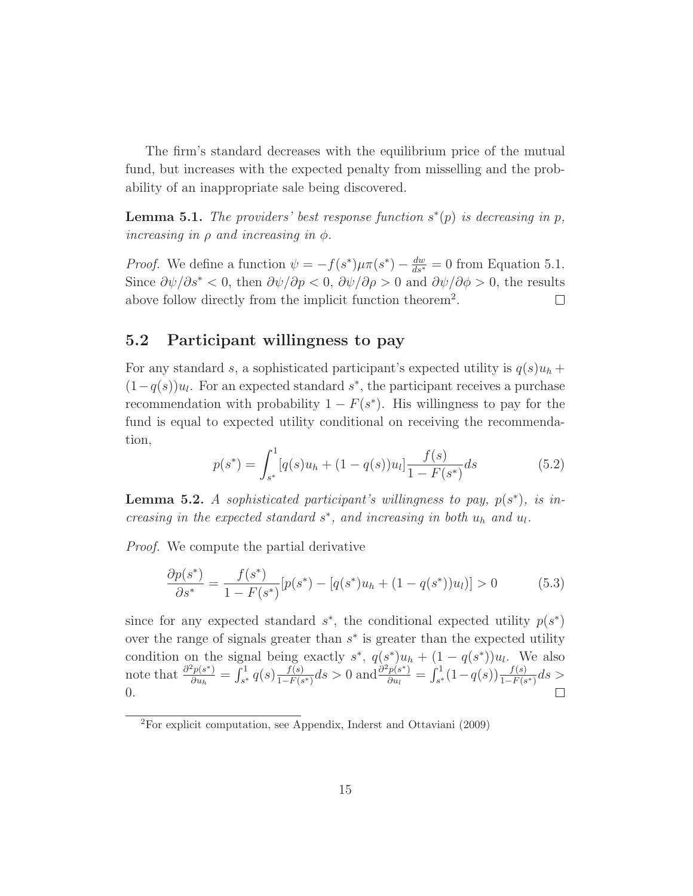The firm's standard decreases with the equilibrium price of the mutual fund, but increases with the expected penalty from misselling and the probability of an inappropriate sale being discovered.

**Lemma 5.1.** The providers' best response function  $s^*(p)$  is decreasing in p, increasing in  $\rho$  and increasing in  $\phi$ .

*Proof.* We define a function  $\psi = -f(s^*)\mu\pi(s^*) - \frac{dw}{ds^*} = 0$  from Equation 5.1. Since  $\frac{\partial \psi}{\partial s^*}$  < 0, then  $\frac{\partial \psi}{\partial p}$  < 0,  $\frac{\partial \psi}{\partial \rho}$  > 0 and  $\frac{\partial \psi}{\partial \phi}$  > 0, the results above follow directly from the implicit function theorem<sup>2</sup>.  $\Box$ 

## **5.2 Participant willingness to pay**

For any standard s, a sophisticated participant's expected utility is  $q(s)u_h +$  $(1-q(s))u_l$ . For an expected standard s<sup>\*</sup>, the participant receives a purchase recommendation with probability  $1 - F(s^*)$ . His willingness to pay for the fund is equal to expected utility conditional on receiving the recommendation,

$$
p(s^*) = \int_{s^*}^1 [q(s)u_h + (1 - q(s))u_l] \frac{f(s)}{1 - F(s^*)} ds \tag{5.2}
$$

**Lemma 5.2.** A sophisticated participant's willingness to pay,  $p(s^*)$ , is increasing in the expected standard  $s^*$ , and increasing in both  $u_h$  and  $u_l$ .

Proof. We compute the partial derivative

$$
\frac{\partial p(s^*)}{\partial s^*} = \frac{f(s^*)}{1 - F(s^*)} [p(s^*) - [q(s^*)u_h + (1 - q(s^*))u_l)] > 0 \tag{5.3}
$$

since for any expected standard  $s^*$ , the conditional expected utility  $p(s^*)$ over the range of signals greater than  $s<sup>*</sup>$  is greater than the expected utility condition on the signal being exactly  $s^*$ ,  $q(s^*)u_h + (1 - q(s^*))u_l$ . We also note that  $\frac{\partial^2 p(s^*)}{\partial u_h} = \int_{s^*}^1 q(s) \frac{f(s)}{1 - F(s^*)} ds > 0$  and  $\frac{\partial^2 p(s^*)}{\partial u_l} = \int_{s^*}^1 (1 - q(s)) \frac{f(s)}{1 - F(s^*)} ds >$ 0.

<sup>2</sup>For explicit computation, see Appendix, Inderst and Ottaviani (2009)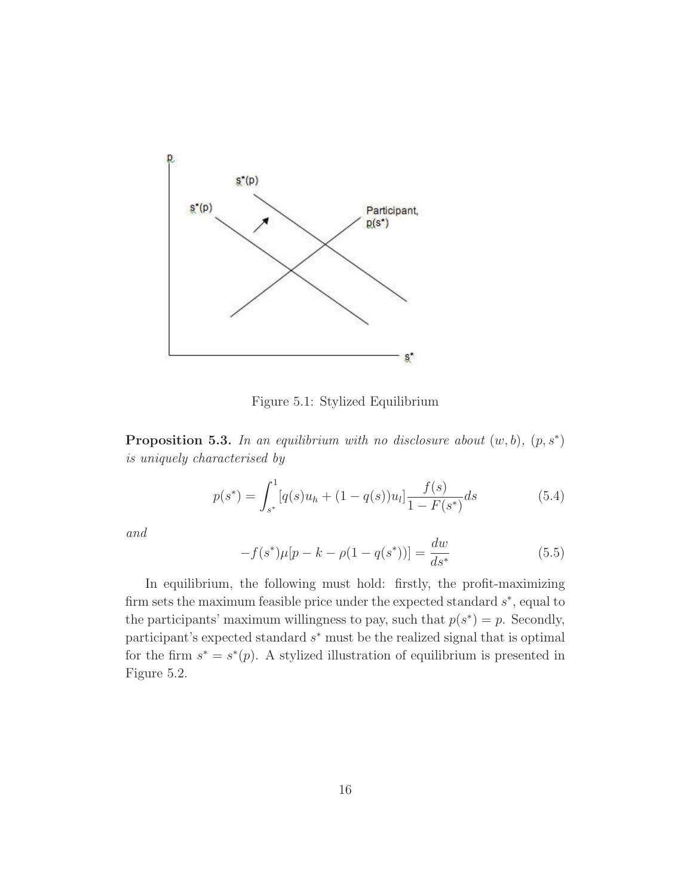

Figure 5.1: Stylized Equilibrium

**Proposition 5.3.** In an equilibrium with no disclosure about  $(w, b)$ ,  $(p, s^*)$ is uniquely characterised by

$$
p(s^*) = \int_{s^*}^1 [q(s)u_h + (1 - q(s))u_l] \frac{f(s)}{1 - F(s^*)} ds \tag{5.4}
$$

and

$$
-f(s^*)\mu[p-k-\rho(1-q(s^*))] = \frac{dw}{ds^*}
$$
\n(5.5)

In equilibrium, the following must hold: firstly, the profit-maximizing firm sets the maximum feasible price under the expected standard  $s^*$ , equal to the participants' maximum willingness to pay, such that  $p(s^*) = p$ . Secondly, participant's expected standard  $s<sup>*</sup>$  must be the realized signal that is optimal for the firm  $s^* = s^*(p)$ . A stylized illustration of equilibrium is presented in Figure 5.2.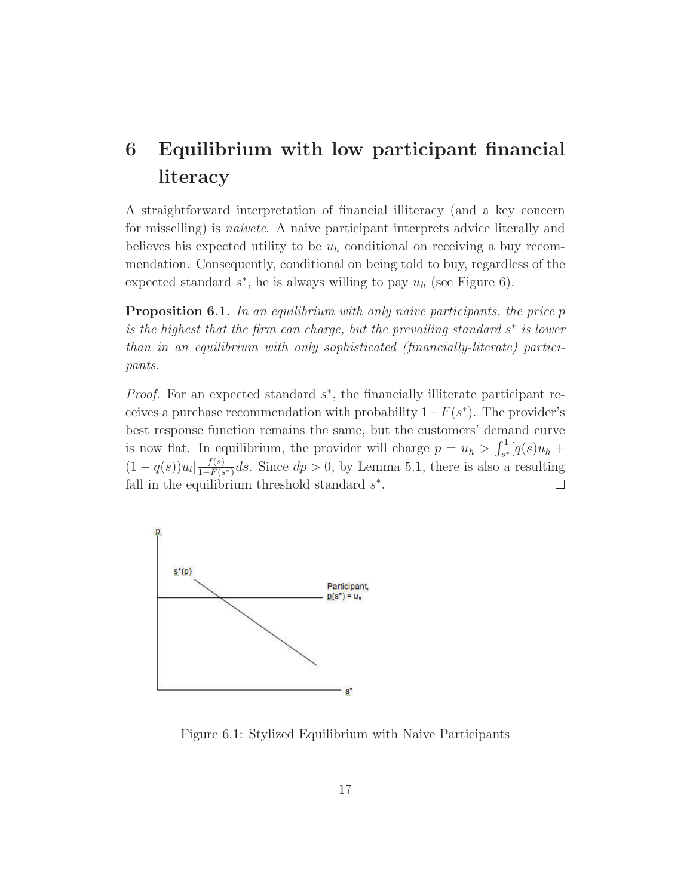## **6 Equilibrium with low participant financial literacy**

A straightforward interpretation of financial illiteracy (and a key concern for misselling) is *naivete*. A naive participant interprets advice literally and believes his expected utility to be  $u_h$  conditional on receiving a buy recommendation. Consequently, conditional on being told to buy, regardless of the expected standard  $s^*$ , he is always willing to pay  $u_h$  (see Figure 6).

**Proposition 6.1.** In an equilibrium with only naive participants, the price p is the highest that the firm can charge, but the prevailing standard  $s^*$  is lower than in an equilibrium with only sophisticated (financially-literate) participants.

*Proof.* For an expected standard  $s^*$ , the financially illiterate participant receives a purchase recommendation with probability  $1-F(s^*)$ . The provider's best response function remains the same, but the customers' demand curve is now flat. In equilibrium, the provider will charge  $p = u_h > \int_{s^*}^1 [q(s)u_h +$  $(1 - q(s))u_l$ ] $\frac{f(s)}{1 - F(s^*)}$ ds. Since  $dp > 0$ , by Lemma 5.1, there is also a resulting fall in the equilibrium threshold standard  $s^*$ .



Figure 6.1: Stylized Equilibrium with Naive Participants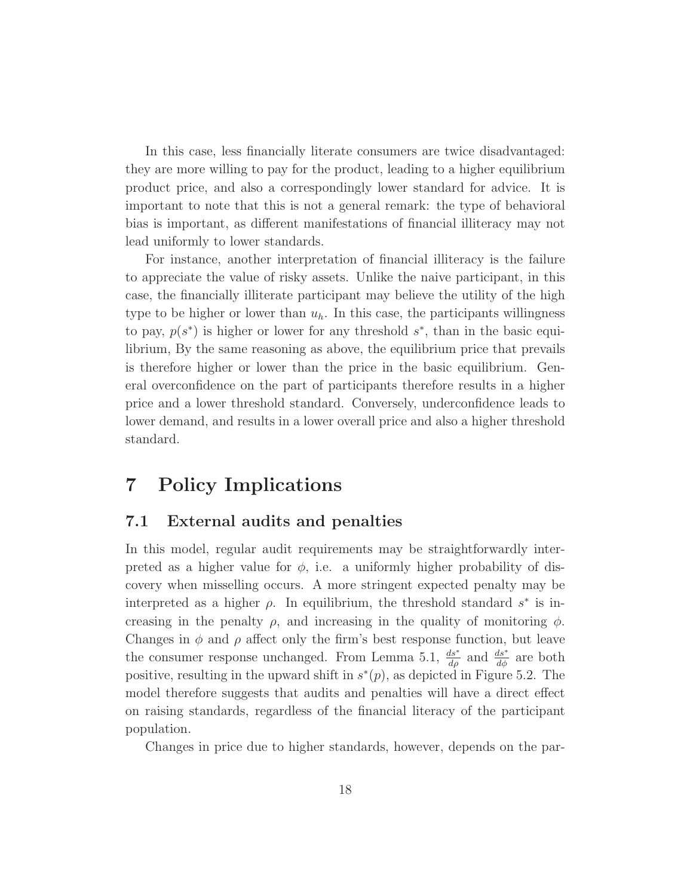In this case, less financially literate consumers are twice disadvantaged: they are more willing to pay for the product, leading to a higher equilibrium product price, and also a correspondingly lower standard for advice. It is important to note that this is not a general remark: the type of behavioral bias is important, as different manifestations of financial illiteracy may not lead uniformly to lower standards.

For instance, another interpretation of financial illiteracy is the failure to appreciate the value of risky assets. Unlike the naive participant, in this case, the financially illiterate participant may believe the utility of the high type to be higher or lower than  $u_h$ . In this case, the participants willingness to pay,  $p(s<sup>*</sup>)$  is higher or lower for any threshold  $s<sup>*</sup>$ , than in the basic equilibrium, By the same reasoning as above, the equilibrium price that prevails is therefore higher or lower than the price in the basic equilibrium. General overconfidence on the part of participants therefore results in a higher price and a lower threshold standard. Conversely, underconfidence leads to lower demand, and results in a lower overall price and also a higher threshold standard.

## **7 Policy Implications**

## **7.1 External audits and penalties**

In this model, regular audit requirements may be straightforwardly interpreted as a higher value for  $\phi$ , i.e. a uniformly higher probability of discovery when misselling occurs. A more stringent expected penalty may be interpreted as a higher  $\rho$ . In equilibrium, the threshold standard s<sup>\*</sup> is increasing in the penalty  $\rho$ , and increasing in the quality of monitoring  $\phi$ . Changes in  $\phi$  and  $\rho$  affect only the firm's best response function, but leave the consumer response unchanged. From Lemma 5.1,  $\frac{ds^*}{d\phi}$  and  $\frac{ds^*}{d\phi}$  are both positive, resulting in the upward shift in  $s*(p)$ , as depicted in Figure 5.2. The model therefore suggests that audits and penalties will have a direct effect on raising standards, regardless of the financial literacy of the participant population.

Changes in price due to higher standards, however, depends on the par-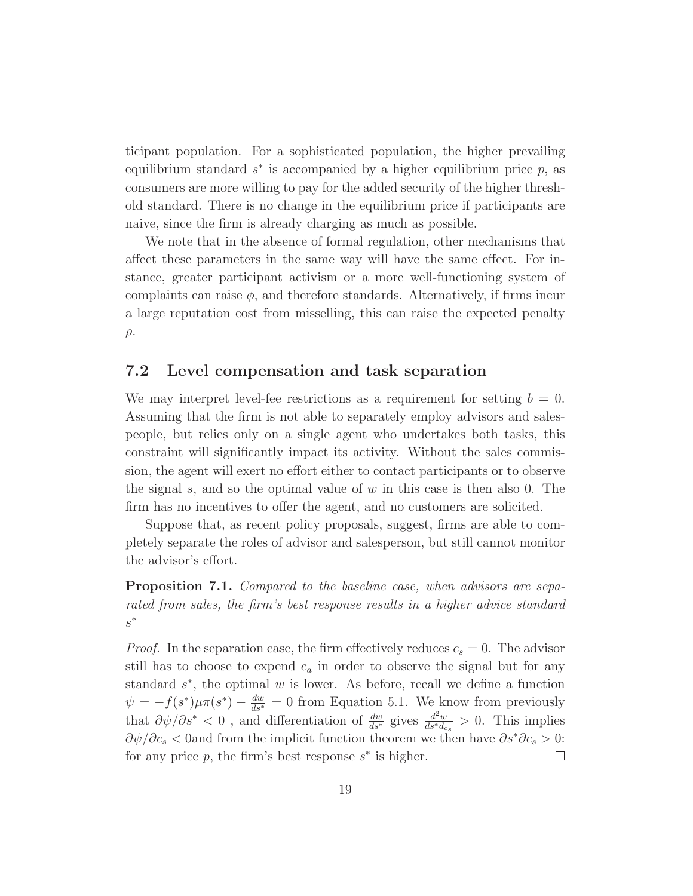ticipant population. For a sophisticated population, the higher prevailing equilibrium standard  $s^*$  is accompanied by a higher equilibrium price p, as consumers are more willing to pay for the added security of the higher threshold standard. There is no change in the equilibrium price if participants are naive, since the firm is already charging as much as possible.

We note that in the absence of formal regulation, other mechanisms that affect these parameters in the same way will have the same effect. For instance, greater participant activism or a more well-functioning system of complaints can raise  $\phi$ , and therefore standards. Alternatively, if firms incur a large reputation cost from misselling, this can raise the expected penalty  $\rho$ .

#### **7.2 Level compensation and task separation**

We may interpret level-fee restrictions as a requirement for setting  $b = 0$ . Assuming that the firm is not able to separately employ advisors and salespeople, but relies only on a single agent who undertakes both tasks, this constraint will significantly impact its activity. Without the sales commission, the agent will exert no effort either to contact participants or to observe the signal s, and so the optimal value of  $w$  in this case is then also 0. The firm has no incentives to offer the agent, and no customers are solicited.

Suppose that, as recent policy proposals, suggest, firms are able to completely separate the roles of advisor and salesperson, but still cannot monitor the advisor's effort.

**Proposition 7.1.** Compared to the baseline case, when advisors are separated from sales, the firm's best response results in a higher advice standard s∗

*Proof.* In the separation case, the firm effectively reduces  $c_s = 0$ . The advisor still has to choose to expend  $c_a$  in order to observe the signal but for any standard  $s^*$ , the optimal w is lower. As before, recall we define a function  $\psi = -f(s^*)\mu\pi(s^*) - \frac{dw}{ds^*} = 0$  from Equation 5.1. We know from previously that  $\partial \psi / \partial s^* < 0$ , and differentiation of  $\frac{dw}{ds^*}$  gives  $\frac{d^2w}{ds^*d_{cs}} > 0$ . This implies  $\partial \psi / \partial c_s$  < 0and from the implicit function theorem we then have  $\partial s^* \partial c_s > 0$ : for any price p, the firm's best response  $s^*$  is higher.  $\Box$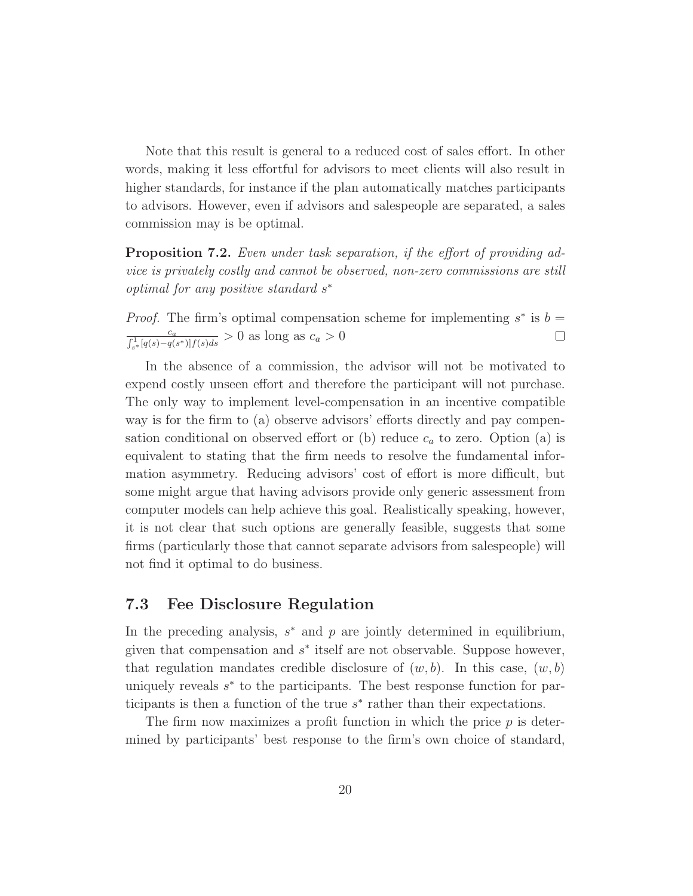Note that this result is general to a reduced cost of sales effort. In other words, making it less effortful for advisors to meet clients will also result in higher standards, for instance if the plan automatically matches participants to advisors. However, even if advisors and salespeople are separated, a sales commission may is be optimal.

**Proposition 7.2.** Even under task separation, if the effort of providing advice is privately costly and cannot be observed, non-zero commissions are still optimal for any positive standard s<sup>∗</sup>

*Proof.* The firm's optimal compensation scheme for implementing  $s^*$  is  $b =$ ca  $\frac{c_a}{\int_{s^*}^1 [q(s) - q(s^*)] f(s) ds} > 0$  as long as  $c_a > 0$  $\Box$ 

In the absence of a commission, the advisor will not be motivated to expend costly unseen effort and therefore the participant will not purchase. The only way to implement level-compensation in an incentive compatible way is for the firm to (a) observe advisors' efforts directly and pay compensation conditional on observed effort or (b) reduce  $c_a$  to zero. Option (a) is equivalent to stating that the firm needs to resolve the fundamental information asymmetry. Reducing advisors' cost of effort is more difficult, but some might argue that having advisors provide only generic assessment from computer models can help achieve this goal. Realistically speaking, however, it is not clear that such options are generally feasible, suggests that some firms (particularly those that cannot separate advisors from salespeople) will not find it optimal to do business.

#### **7.3 Fee Disclosure Regulation**

In the preceding analysis,  $s^*$  and p are jointly determined in equilibrium, given that compensation and  $s^*$  itself are not observable. Suppose however, that regulation mandates credible disclosure of  $(w, b)$ . In this case,  $(w, b)$ uniquely reveals  $s<sup>*</sup>$  to the participants. The best response function for participants is then a function of the true  $s^*$  rather than their expectations.

The firm now maximizes a profit function in which the price  $p$  is determined by participants' best response to the firm's own choice of standard,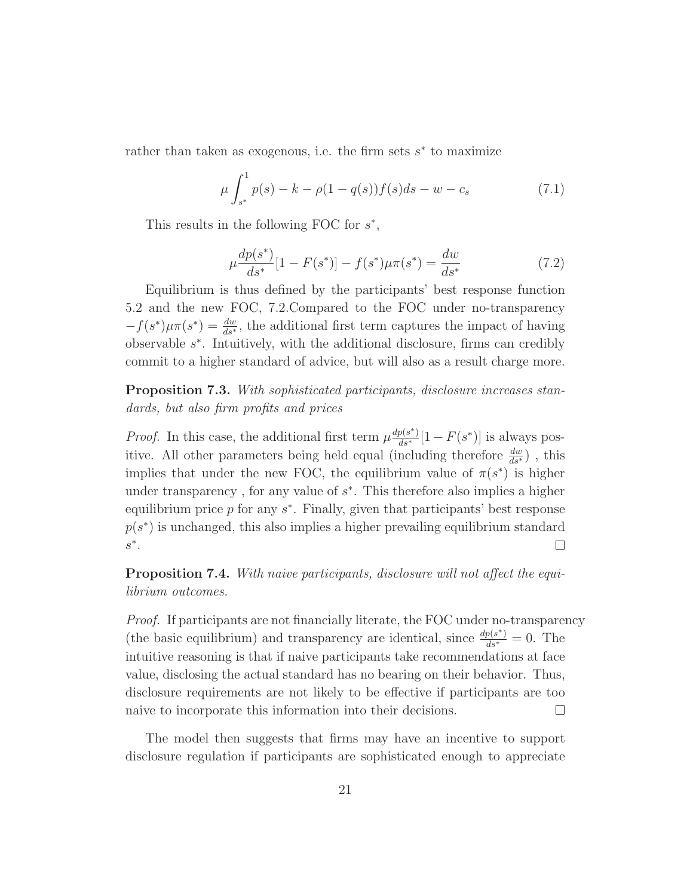rather than taken as exogenous, i.e. the firm sets  $s^*$  to maximize

$$
\mu \int_{s^*}^1 p(s) - k - \rho(1 - q(s)) f(s) ds - w - c_s \tag{7.1}
$$

This results in the following FOC for  $s^*$ ,

$$
\mu \frac{dp(s^*)}{ds^*} [1 - F(s^*)] - f(s^*) \mu \pi(s^*) = \frac{dw}{ds^*}
$$
\n(7.2)

Equilibrium is thus defined by the participants' best response function 5.2 and the new FOC, 7.2.Compared to the FOC under no-transparency  $-f(s^*)\mu\pi(s^*) = \frac{dw}{ds^*}$ , the additional first term captures the impact of having observable  $s<sup>*</sup>$ . Intuitively, with the additional disclosure, firms can credibly commit to a higher standard of advice, but will also as a result charge more.

**Proposition 7.3.** With sophisticated participants, disclosure increases standards, but also firm profits and prices

*Proof.* In this case, the additional first term  $\mu \frac{dp(s^*)}{ds^*} [1 - F(s^*)]$  is always positive. All other parameters being held equal (including therefore  $\frac{dw}{ds*}$ ), this implies that under the new FOC, the equilibrium value of  $\pi(s^*)$  is higher under transparency, for any value of  $s^*$ . This therefore also implies a higher equilibrium price p for any  $s^*$ . Finally, given that participants' best response  $p(s<sup>*</sup>)$  is unchanged, this also implies a higher prevailing equilibrium standard  $s^*$ .  $\Box$ 

**Proposition 7.4.** With naive participants, disclosure will not affect the equilibrium outcomes.

Proof. If participants are not financially literate, the FOC under no-transparency (the basic equilibrium) and transparency are identical, since  $\frac{dp(s^*)}{ds^*} = 0$ . The intuitive reasoning is that if naive participants take recommendations at face value, disclosing the actual standard has no bearing on their behavior. Thus, disclosure requirements are not likely to be effective if participants are too naive to incorporate this information into their decisions.  $\Box$ 

The model then suggests that firms may have an incentive to support disclosure regulation if participants are sophisticated enough to appreciate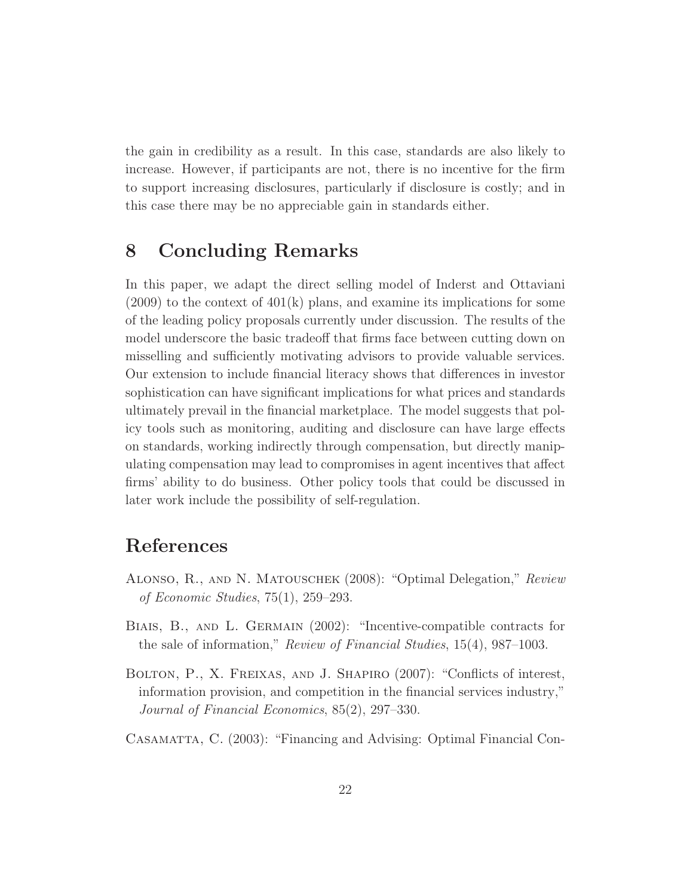the gain in credibility as a result. In this case, standards are also likely to increase. However, if participants are not, there is no incentive for the firm to support increasing disclosures, particularly if disclosure is costly; and in this case there may be no appreciable gain in standards either.

## **8 Concluding Remarks**

In this paper, we adapt the direct selling model of Inderst and Ottaviani  $(2009)$  to the context of  $401(k)$  plans, and examine its implications for some of the leading policy proposals currently under discussion. The results of the model underscore the basic tradeoff that firms face between cutting down on misselling and sufficiently motivating advisors to provide valuable services. Our extension to include financial literacy shows that differences in investor sophistication can have significant implications for what prices and standards ultimately prevail in the financial marketplace. The model suggests that policy tools such as monitoring, auditing and disclosure can have large effects on standards, working indirectly through compensation, but directly manipulating compensation may lead to compromises in agent incentives that affect firms' ability to do business. Other policy tools that could be discussed in later work include the possibility of self-regulation.

## **References**

- Alonso, R., and N. Matouschek (2008): "Optimal Delegation," Review of Economic Studies, 75(1), 259–293.
- Biais, B., and L. Germain (2002): "Incentive-compatible contracts for the sale of information," Review of Financial Studies, 15(4), 987–1003.
- Bolton, P., X. Freixas, and J. Shapiro (2007): "Conflicts of interest, information provision, and competition in the financial services industry," Journal of Financial Economics, 85(2), 297–330.
- Casamatta, C. (2003): "Financing and Advising: Optimal Financial Con-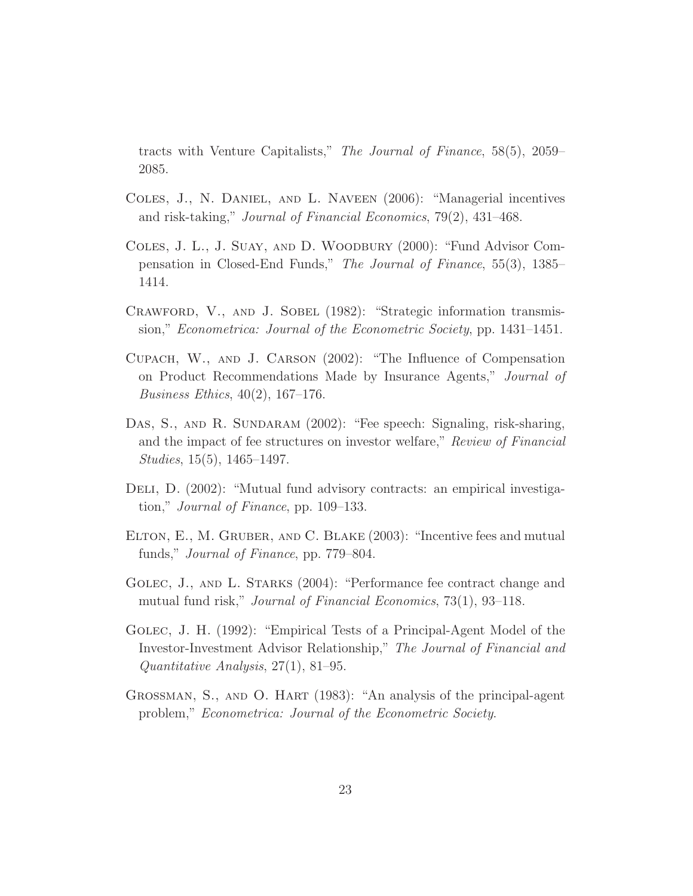tracts with Venture Capitalists," The Journal of Finance, 58(5), 2059– 2085.

- Coles, J., N. Daniel, and L. Naveen (2006): "Managerial incentives and risk-taking," Journal of Financial Economics, 79(2), 431–468.
- Coles, J. L., J. Suay, and D. Woodbury (2000): "Fund Advisor Compensation in Closed-End Funds," The Journal of Finance, 55(3), 1385– 1414.
- CRAWFORD, V., AND J. SOBEL (1982): "Strategic information transmission," Econometrica: Journal of the Econometric Society, pp. 1431–1451.
- Cupach, W., and J. Carson (2002): "The Influence of Compensation on Product Recommendations Made by Insurance Agents," Journal of Business Ethics, 40(2), 167–176.
- DAS, S., AND R. SUNDARAM (2002): "Fee speech: Signaling, risk-sharing, and the impact of fee structures on investor welfare," Review of Financial Studies, 15(5), 1465–1497.
- Deli, D. (2002): "Mutual fund advisory contracts: an empirical investigation," Journal of Finance, pp. 109–133.
- Elton, E., M. Gruber, and C. Blake (2003): "Incentive fees and mutual funds," *Journal of Finance*, pp. 779–804.
- GOLEC, J., AND L. STARKS (2004): "Performance fee contract change and mutual fund risk," Journal of Financial Economics, 73(1), 93–118.
- Golec, J. H. (1992): "Empirical Tests of a Principal-Agent Model of the Investor-Investment Advisor Relationship," The Journal of Financial and Quantitative Analysis, 27(1), 81–95.
- Grossman, S., and O. Hart (1983): "An analysis of the principal-agent problem," Econometrica: Journal of the Econometric Society.